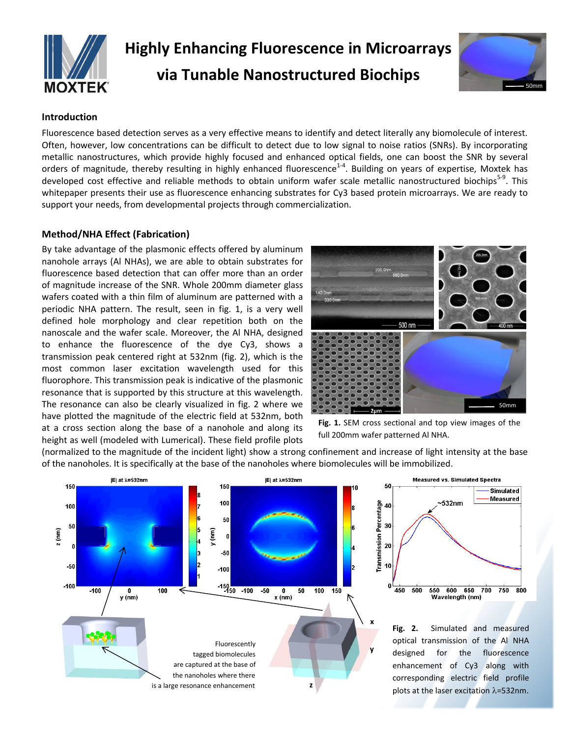

# **Highly Enhancing Fluorescence in Microarrays via Tunable Nanostructured Biochips**



# **Introduction**

Fluorescence based detection serves as a very effective means to identify and detect literally any biomolecule of interest. Often, however, low concentrations can be difficult to detect due to low signal to noise ratios (SNRs). By incorporating metallic nanostructures, which provide highly focused and enhanced optical fields, one can boost the SNR by several orders of magnitude, thereby resulting in highly enhanced fluorescence<sup>1-4</sup>. Building on years of expertise, Moxtek has developed cost effective and reliable methods to obtain uniform wafer scale metallic nanostructured biochips<sup>5-9</sup>. This whitepaper presents their use as fluorescence enhancing substrates for Cy3 based protein microarrays. We are ready to support your needs, from developmental projects through commercialization.

# **Method/NHA Effect (Fabrication)**

By take advantage of the plasmonic effects offered by aluminum nanohole arrays (Al NHAs), we are able to obtain substrates for fluorescence based detection that can offer more than an order of magnitude increase of the SNR. Whole 200mm diameter glass wafers coated with a thin film of aluminum are patterned with a periodic NHA pattern. The result, seen in fig. 1, is a very well defined hole morphology and clear repetition both on the nanoscale and the wafer scale. Moreover, the Al NHA, designed to enhance the fluorescence of the dye Cy3, shows a transmission peak centered right at 532nm (fig. 2), which is the most common laser excitation wavelength used for this fluorophore. This transmission peak is indicative of the plasmonic resonance that is supported by this structure at this wavelength. The resonance can also be clearly visualized in fig. 2 where we have plotted the magnitude of the electric field at 532nm, both at a cross section along the base of a nanohole and along its height as well (modeled with Lumerical). These field profile plots



**Fig. 1.** SEM cross sectional and top view images of the full 200mm wafer patterned Al NHA.

(normalized to the magnitude of the incident light) show a strong confinement and increase of light intensity at the base of the nanoholes. It is specifically at the base of the nanoholes where biomolecules will be immobilized.

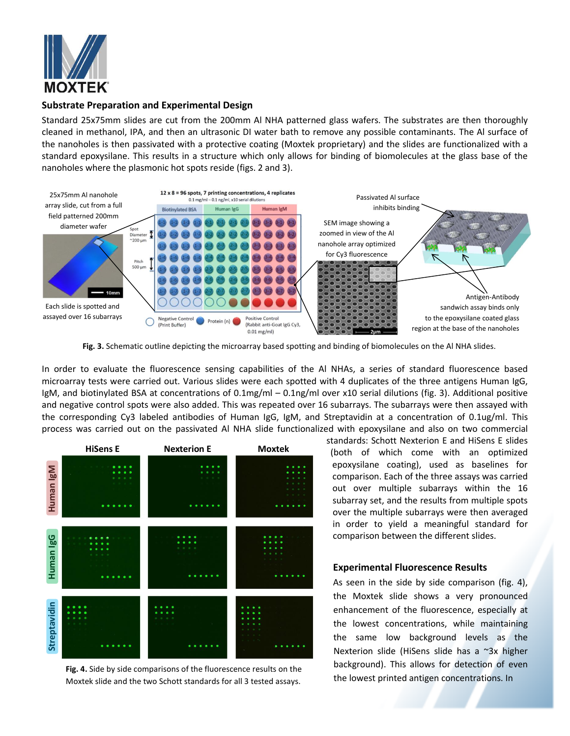

# **Substrate Preparation and Experimental Design**

Standard 25x75mm slides are cut from the 200mm Al NHA patterned glass wafers. The substrates are then thoroughly cleaned in methanol, IPA, and then an ultrasonic DI water bath to remove any possible contaminants. The Al surface of the nanoholes is then passivated with a protective coating (Moxtek proprietary) and the slides are functionalized with a standard epoxysilane. This results in a structure which only allows for binding of biomolecules at the glass base of the nanoholes where the plasmonic hot spots reside (figs. 2 and 3).



**Fig. 3.** Schematic outline depicting the microarray based spotting and binding of biomolecules on the Al NHA slides.

In order to evaluate the fluorescence sensing capabilities of the Al NHAs, a series of standard fluorescence based microarray tests were carried out. Various slides were each spotted with 4 duplicates of the three antigens Human IgG, IgM, and biotinylated BSA at concentrations of 0.1mg/ml – 0.1ng/ml over x10 serial dilutions (fig. 3). Additional positive and negative control spots were also added. This was repeated over 16 subarrays. The subarrays were then assayed with the corresponding Cy3 labeled antibodies of Human IgG, IgM, and Streptavidin at a concentration of 0.1ug/ml. This process was carried out on the passivated Al NHA slide functionalized with epoxysilane and also on two commercial



**Fig. 4.** Side by side comparisons of the fluorescence results on the Moxtek slide and the two Schott standards for all 3 tested assays.

standards: Schott Nexterion E and HiSens E slides (both of which come with an optimized epoxysilane coating), used as baselines for comparison. Each of the three assays was carried out over multiple subarrays within the 16 subarray set, and the results from multiple spots over the multiple subarrays were then averaged in order to yield a meaningful standard for comparison between the different slides.

### **Experimental Fluorescence Results**

As seen in the side by side comparison (fig. 4), the Moxtek slide shows a very pronounced enhancement of the fluorescence, especially at the lowest concentrations, while maintaining the same low background levels as the Nexterion slide (HiSens slide has a ~3x higher background). This allows for detection of even the lowest printed antigen concentrations. In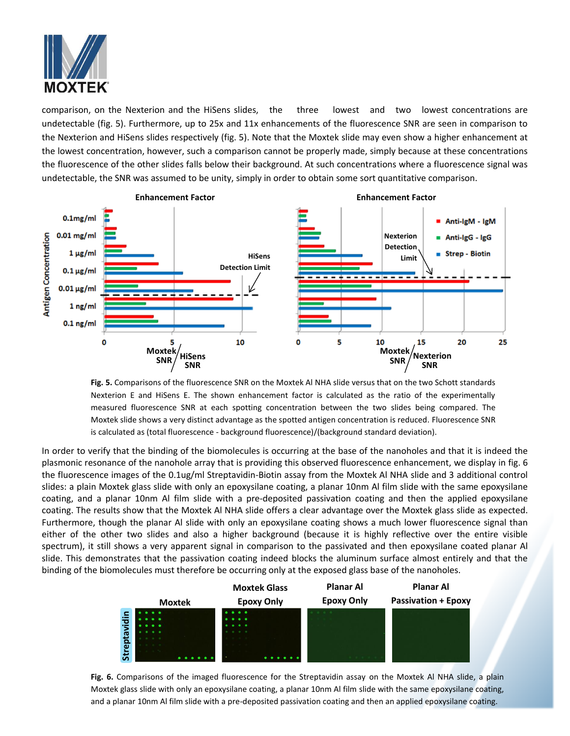

comparison, on the Nexterion and the HiSens slides, the three lowest and two lowest concentrations are undetectable (fig. 5). Furthermore, up to 25x and 11x enhancements of the fluorescence SNR are seen in comparison to the Nexterion and HiSens slides respectively (fig. 5). Note that the Moxtek slide may even show a higher enhancement at the lowest concentration, however, such a comparison cannot be properly made, simply because at these concentrations the fluorescence of the other slides falls below their background. At such concentrations where a fluorescence signal was undetectable, the SNR was assumed to be unity, simply in order to obtain some sort quantitative comparison.



**Fig. 5.** Comparisons of the fluorescence SNR on the Moxtek Al NHA slide versus that on the two Schott standards Nexterion E and HiSens E. The shown enhancement factor is calculated as the ratio of the experimentally measured fluorescence SNR at each spotting concentration between the two slides being compared. The Moxtek slide shows a very distinct advantage as the spotted antigen concentration is reduced. Fluorescence SNR is calculated as (total fluorescence - background fluorescence)/(background standard deviation).

In order to verify that the binding of the biomolecules is occurring at the base of the nanoholes and that it is indeed the plasmonic resonance of the nanohole array that is providing this observed fluorescence enhancement, we display in fig. 6 the fluorescence images of the 0.1ug/ml Streptavidin-Biotin assay from the Moxtek Al NHA slide and 3 additional control slides: a plain Moxtek glass slide with only an epoxysilane coating, a planar 10nm Al film slide with the same epoxysilane coating, and a planar 10nm Al film slide with a pre-deposited passivation coating and then the applied epoxysilane coating. The results show that the Moxtek Al NHA slide offers a clear advantage over the Moxtek glass slide as expected. Furthermore, though the planar Al slide with only an epoxysilane coating shows a much lower fluorescence signal than either of the other two slides and also a higher background (because it is highly reflective over the entire visible spectrum), it still shows a very apparent signal in comparison to the passivated and then epoxysilane coated planar Al slide. This demonstrates that the passivation coating indeed blocks the aluminum surface almost entirely and that the binding of the biomolecules must therefore be occurring only at the exposed glass base of the nanoholes.



**Fig. 6.** Comparisons of the imaged fluorescence for the Streptavidin assay on the Moxtek Al NHA slide, a plain Moxtek glass slide with only an epoxysilane coating, a planar 10nm Al film slide with the same epoxysilane coating, and a planar 10nm Al film slide with a pre-deposited passivation coating and then an applied epoxysilane coating.